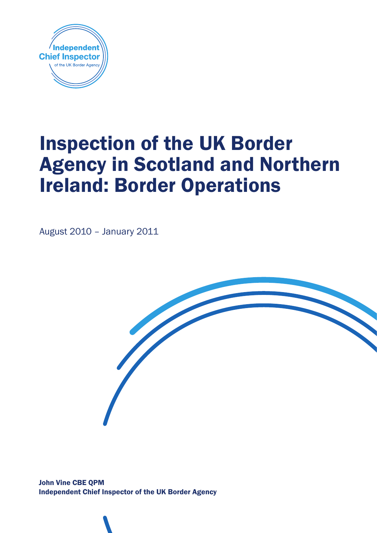

# Inspection of the UK Border Agency in Scotland and Northern Ireland: Border Operations

August 2010 – January 2011



John Vine CBE QPM Independent Chief Inspector of the UK Border Agency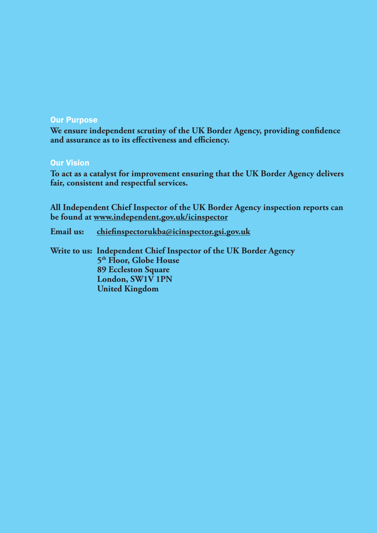#### Our Purpose

**We ensure independent scrutiny of the UK Border Agency, providing confidence and assurance as to its effectiveness and efficiency.**

#### Our Vision

**To act as a catalyst for improvement ensuring that the UK Border Agency delivers fair, consistent and respectful services.**

**All Independent Chief Inspector of the UK Border Agency inspection reports can be found at www.independent.gov.uk/icinspector**

**Email us: chiefinspectorukba@icinspector.gsi.gov.uk**

**Write to us: Independent Chief Inspector of the UK Border Agency 5th Floor, Globe House 89 Eccleston Square London, SW1V 1PN United Kingdom**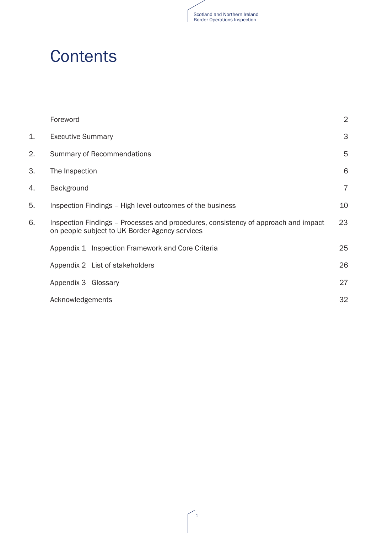## **Contents**

|    | Foreword                                                                                                                             | 2              |
|----|--------------------------------------------------------------------------------------------------------------------------------------|----------------|
| 1. | <b>Executive Summary</b>                                                                                                             | 3              |
| 2. | <b>Summary of Recommendations</b>                                                                                                    | 5              |
| 3. | The Inspection                                                                                                                       | 6              |
| 4. | Background                                                                                                                           | $\overline{7}$ |
| 5. | Inspection Findings - High level outcomes of the business                                                                            | 10             |
| 6. | Inspection Findings – Processes and procedures, consistency of approach and impact<br>on people subject to UK Border Agency services | 23             |
|    | Appendix 1 Inspection Framework and Core Criteria                                                                                    | 25             |
|    | Appendix 2 List of stakeholders                                                                                                      | 26             |
|    | Appendix 3 Glossary                                                                                                                  | 27             |
|    | Acknowledgements                                                                                                                     | 32             |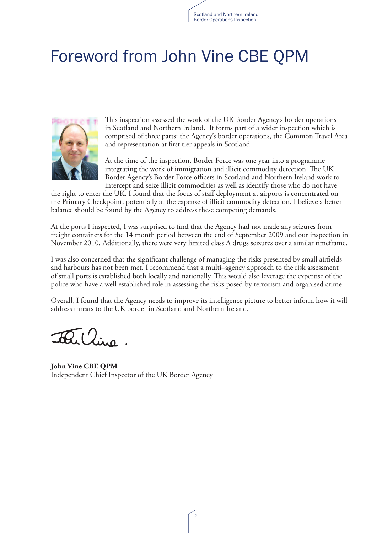## Foreword from John Vine CBE QPM



This inspection assessed the work of the UK Border Agency's border operations in Scotland and Northern Ireland. It forms part of a wider inspection which is comprised of three parts: the Agency's border operations, the Common Travel Area and representation at first tier appeals in Scotland.

At the time of the inspection, Border Force was one year into a programme integrating the work of immigration and illicit commodity detection. The UK Border Agency's Border Force officers in Scotland and Northern Ireland work to intercept and seize illicit commodities as well as identify those who do not have

the right to enter the UK. I found that the focus of staff deployment at airports is concentrated on the Primary Checkpoint, potentially at the expense of illicit commodity detection. I believe a better balance should be found by the Agency to address these competing demands.

At the ports I inspected, I was surprised to find that the Agency had not made any seizures from freight containers for the 14 month period between the end of September 2009 and our inspection in November 2010. Additionally, there were very limited class A drugs seizures over a similar timeframe.

I was also concerned that the significant challenge of managing the risks presented by small airfields and harbours has not been met. I recommend that a multi–agency approach to the risk assessment of small ports is established both locally and nationally. This would also leverage the expertise of the police who have a well established role in assessing the risks posed by terrorism and organised crime.

Overall, I found that the Agency needs to improve its intelligence picture to better inform how it will address threats to the UK border in Scotland and Northern Ireland.

Totalling.

**John Vine CBE QPM** Independent Chief Inspector of the UK Border Agency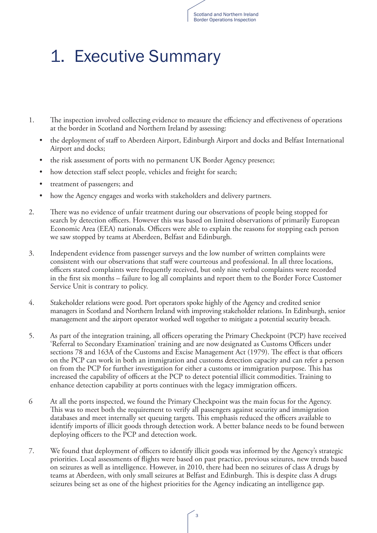## 1. Executive Summary

- 1. The inspection involved collecting evidence to measure the efficiency and effectiveness of operations at the border in Scotland and Northern Ireland by assessing:
	- the deployment of staff to Aberdeen Airport, Edinburgh Airport and docks and Belfast International Airport and docks;
	- the risk assessment of ports with no permanent UK Border Agency presence;
	- how detection staff select people, vehicles and freight for search;
	- • treatment of passengers; and
	- how the Agency engages and works with stakeholders and delivery partners.
- 2. There was no evidence of unfair treatment during our observations of people being stopped for search by detection officers. However this was based on limited observations of primarily European Economic Area (EEA) nationals. Officers were able to explain the reasons for stopping each person we saw stopped by teams at Aberdeen, Belfast and Edinburgh.
- 3. Independent evidence from passenger surveys and the low number of written complaints were consistent with our observations that staff were courteous and professional. In all three locations, officers stated complaints were frequently received, but only nine verbal complaints were recorded in the first six months – failure to log all complaints and report them to the Border Force Customer Service Unit is contrary to policy.
- 4. Stakeholder relations were good. Port operators spoke highly of the Agency and credited senior managers in Scotland and Northern Ireland with improving stakeholder relations. In Edinburgh, senior management and the airport operator worked well together to mitigate a potential security breach.
- 5. As part of the integration training, all officers operating the Primary Checkpoint (PCP) have received 'Referral to Secondary Examination' training and are now designated as Customs Officers under sections 78 and 163A of the Customs and Excise Management Act (1979). The effect is that officers on the PCP can work in both an immigration and customs detection capacity and can refer a person on from the PCP for further investigation for either a customs or immigration purpose. This has increased the capability of officers at the PCP to detect potential illicit commodities. Training to enhance detection capability at ports continues with the legacy immigration officers.
- 6 At all the ports inspected, we found the Primary Checkpoint was the main focus for the Agency. This was to meet both the requirement to verify all passengers against security and immigration databases and meet internally set queuing targets. This emphasis reduced the officers available to identify imports of illicit goods through detection work. A better balance needs to be found between deploying officers to the PCP and detection work.
- 7. We found that deployment of officers to identify illicit goods was informed by the Agency's strategic priorities. Local assessments of flights were based on past practice, previous seizures, new trends based on seizures as well as intelligence. However, in 2010, there had been no seizures of class A drugs by teams at Aberdeen, with only small seizures at Belfast and Edinburgh. This is despite class A drugs seizures being set as one of the highest priorities for the Agency indicating an intelligence gap.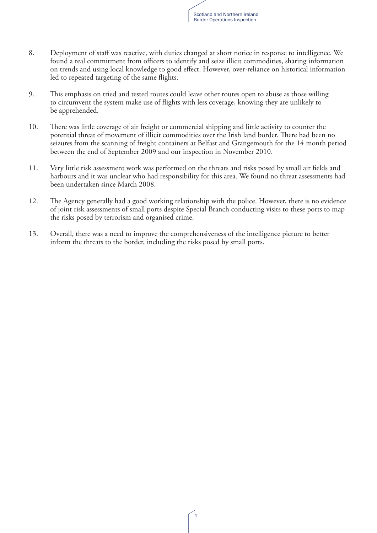

- 8. Deployment of staff was reactive, with duties changed at short notice in response to intelligence. We found a real commitment from officers to identify and seize illicit commodities, sharing information on trends and using local knowledge to good effect. However, over-reliance on historical information led to repeated targeting of the same flights.
- 9. This emphasis on tried and tested routes could leave other routes open to abuse as those willing to circumvent the system make use of flights with less coverage, knowing they are unlikely to be apprehended.
- 10. There was little coverage of air freight or commercial shipping and little activity to counter the potential threat of movement of illicit commodities over the Irish land border. There had been no seizures from the scanning of freight containers at Belfast and Grangemouth for the 14 month period between the end of September 2009 and our inspection in November 2010.
- 11. Very little risk assessment work was performed on the threats and risks posed by small air fields and harbours and it was unclear who had responsibility for this area. We found no threat assessments had been undertaken since March 2008.
- 12. The Agency generally had a good working relationship with the police. However, there is no evidence of joint risk assessments of small ports despite Special Branch conducting visits to these ports to map the risks posed by terrorism and organised crime.
- 13. Overall, there was a need to improve the comprehensiveness of the intelligence picture to better inform the threats to the border, including the risks posed by small ports.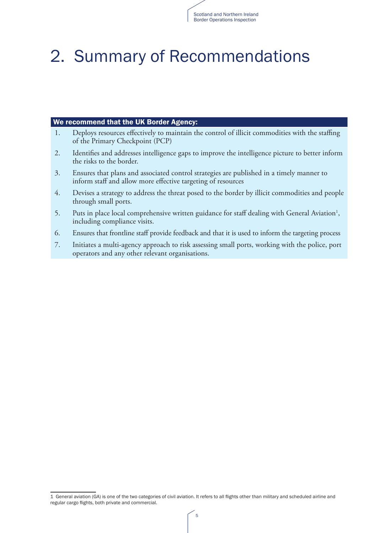## 2. Summary of Recommendations

#### We recommend that the UK Border Agency:

- 1. Deploys resources effectively to maintain the control of illicit commodities with the staffing of the Primary Checkpoint (PCP)
- 2. Identifies and addresses intelligence gaps to improve the intelligence picture to better inform the risks to the border.
- 3. Ensures that plans and associated control strategies are published in a timely manner to inform staff and allow more effective targeting of resources
- 4. Devises a strategy to address the threat posed to the border by illicit commodities and people through small ports.
- 5. Puts in place local comprehensive written guidance for staff dealing with General Aviation<sup>1</sup>, including compliance visits.
- 6. Ensures that frontline staff provide feedback and that it is used to inform the targeting process
- 7. Initiates a multi-agency approach to risk assessing small ports, working with the police, port operators and any other relevant organisations.

<sup>1</sup> General aviation (GA) is one of the two categories of civil aviation. It refers to all flights other than military and scheduled airline and regular cargo flights, both private and commercial.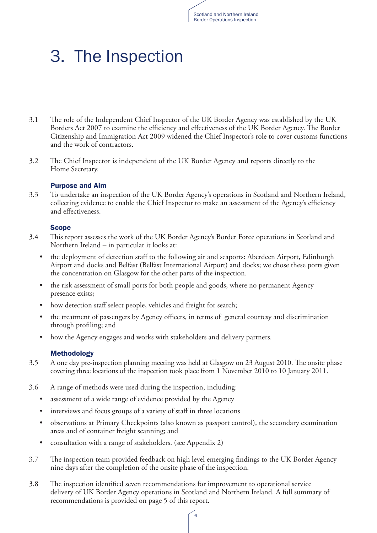## 3. The Inspection

- 3.1 The role of the Independent Chief Inspector of the UK Border Agency was established by the UK Borders Act 2007 to examine the efficiency and effectiveness of the UK Border Agency. The Border Citizenship and Immigration Act 2009 widened the Chief Inspector's role to cover customs functions and the work of contractors.
- 3.2 The Chief Inspector is independent of the UK Border Agency and reports directly to the Home Secretary.

#### Purpose and Aim

3.3 To undertake an inspection of the UK Border Agency's operations in Scotland and Northern Ireland, collecting evidence to enable the Chief Inspector to make an assessment of the Agency's efficiency and effectiveness.

#### **Scope**

- 3.4 This report assesses the work of the UK Border Agency's Border Force operations in Scotland and Northern Ireland – in particular it looks at:
	- the deployment of detection staff to the following air and seaports: Aberdeen Airport, Edinburgh Airport and docks and Belfast (Belfast International Airport) and docks; we chose these ports given the concentration on Glasgow for the other parts of the inspection.
	- the risk assessment of small ports for both people and goods, where no permanent Agency presence exists;
	- how detection staff select people, vehicles and freight for search;
	- the treatment of passengers by Agency officers, in terms of general courtesy and discrimination through profiling; and
	- how the Agency engages and works with stakeholders and delivery partners.

#### Methodology

- 3.5 A one day pre-inspection planning meeting was held at Glasgow on 23 August 2010. The onsite phase covering three locations of the inspection took place from 1 November 2010 to 10 January 2011.
- 3.6 A range of methods were used during the inspection, including:
	- assessment of a wide range of evidence provided by the Agency
	- interviews and focus groups of a variety of staff in three locations
	- observations at Primary Checkpoints (also known as passport control), the secondary examination areas and of container freight scanning; and
	- consultation with a range of stakeholders. (see Appendix 2)
- 3.7 The inspection team provided feedback on high level emerging findings to the UK Border Agency nine days after the completion of the onsite phase of the inspection.
- 3.8 The inspection identified seven recommendations for improvement to operational service delivery of UK Border Agency operations in Scotland and Northern Ireland. A full summary of recommendations is provided on page 5 of this report.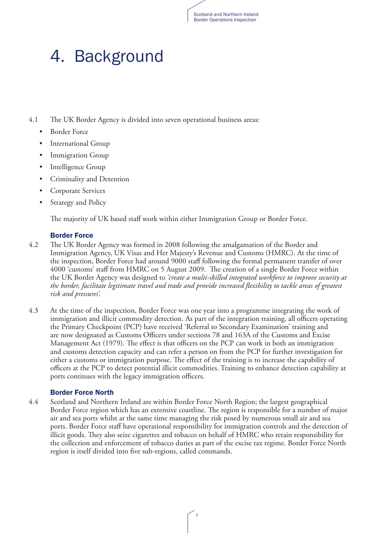## 4. Background

- 4.1 The UK Border Agency is divided into seven operational business areas:
	- **Border Force**
	- **International Group**
	- • Immigration Group
	- Intelligence Group
	- • Criminality and Detention
	- • Corporate Services
	- Strategy and Policy

The majority of UK based staff work within either Immigration Group or Border Force.

#### Border Force

- 4.2 The UK Border Agency was formed in 2008 following the amalgamation of the Border and Immigration Agency, UK Visas and Her Majesty's Revenue and Customs (HMRC). At the time of the inspection, Border Force had around 9000 staff following the formal permanent transfer of over 4000 'customs' staff from HMRC on 5 August 2009. The creation of a single Border Force within the UK Border Agency was designed to *'create a multi-skilled integrated workforce to improve security at the border, facilitate legitimate travel and trade and provide increased flexibility to tackle areas of greatest risk and pressures'.*
- 4.3 At the time of the inspection, Border Force was one year into a programme integrating the work of immigration and illicit commodity detection. As part of the integration training, all officers operating the Primary Checkpoint (PCP) have received 'Referral to Secondary Examination' training and are now designated as Customs Officers under sections 78 and 163A of the Customs and Excise Management Act (1979). The effect is that officers on the PCP can work in both an immigration and customs detection capacity and can refer a person on from the PCP for further investigation for either a customs or immigration purpose. The effect of the training is to increase the capability of officers at the PCP to detect potential illicit commodities. Training to enhance detection capability at ports continues with the legacy immigration officers.

#### Border Force North

4.4 Scotland and Northern Ireland are within Border Force North Region; the largest geographical Border Force region which has an extensive coastline. The region is responsible for a number of major air and sea ports whilst at the same time managing the risk posed by numerous small air and sea ports. Border Force staff have operational responsibility for immigration controls and the detection of illicit goods. They also seize cigarettes and tobacco on behalf of HMRC who retain responsibility for the collection and enforcement of tobacco duties as part of the excise tax regime. Border Force North region is itself divided into five sub-regions, called commands.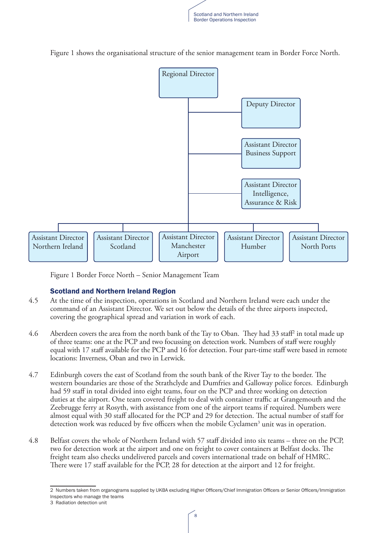

Regional Director Deputy Director Assistant Director Business Support Assistant Director Intelligence, Assurance & Risk Assistant Director Manchester Airport Assistant Director Humber Assistant Director North Ports Assistant Director Scotland Assistant Director Northern Ireland

Figure 1 shows the organisational structure of the senior management team in Border Force North.

Figure 1 Border Force North – Senior Management Team

#### Scotland and Northern Ireland Region

- 4.5 At the time of the inspection, operations in Scotland and Northern Ireland were each under the command of an Assistant Director. We set out below the details of the three airports inspected, covering the geographical spread and variation in work of each.
- 4.6 Aberdeen covers the area from the north bank of the Tay to Oban. They had 33 staff2 in total made up of three teams: one at the PCP and two focussing on detection work. Numbers of staff were roughly equal with 17 staff available for the PCP and 16 for detection. Four part-time staff were based in remote locations: Inverness, Oban and two in Lerwick.
- 4.7 Edinburgh covers the east of Scotland from the south bank of the River Tay to the border. The western boundaries are those of the Strathclyde and Dumfries and Galloway police forces. Edinburgh had 59 staff in total divided into eight teams, four on the PCP and three working on detection duties at the airport. One team covered freight to deal with container traffic at Grangemouth and the Zeebrugge ferry at Rosyth, with assistance from one of the airport teams if required. Numbers were almost equal with 30 staff allocated for the PCP and 29 for detection. The actual number of staff for detection work was reduced by five officers when the mobile Cyclamen<sup>3</sup> unit was in operation.
- 4.8 Belfast covers the whole of Northern Ireland with 57 staff divided into six teams three on the PCP, two for detection work at the airport and one on freight to cover containers at Belfast docks. The freight team also checks undelivered parcels and covers international trade on behalf of HMRC. There were 17 staff available for the PCP, 28 for detection at the airport and 12 for freight.

<sup>2</sup> Numbers taken from organograms supplied by UKBA excluding Higher Officers/Chief Immigration Officers or Senior Officers/Immigration

Inspectors who manage the teams

<sup>3</sup> Radiation detection unit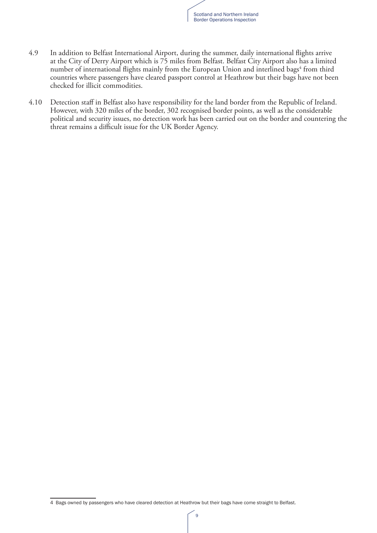

- 4.9 In addition to Belfast International Airport, during the summer, daily international flights arrive at the City of Derry Airport which is 75 miles from Belfast. Belfast City Airport also has a limited number of international flights mainly from the European Union and interlined bags<sup>4</sup> from third countries where passengers have cleared passport control at Heathrow but their bags have not been checked for illicit commodities.
- 4.10 Detection staff in Belfast also have responsibility for the land border from the Republic of Ireland. However, with 320 miles of the border, 302 recognised border points, as well as the considerable political and security issues, no detection work has been carried out on the border and countering the threat remains a difficult issue for the UK Border Agency.

<sup>4</sup> Bags owned by passengers who have cleared detection at Heathrow but their bags have come straight to Belfast.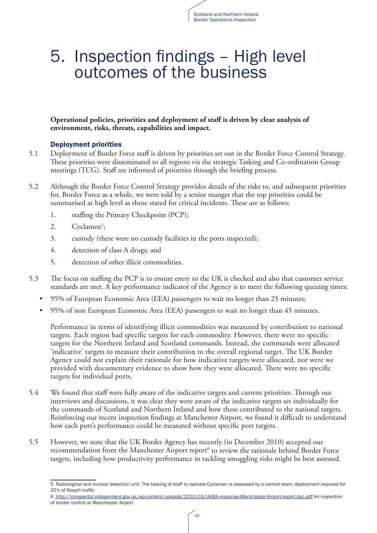### 5. Inspection findings – High level outcomes of the business

**Operational policies, priorities and deployment of staff is driven by clear analysis of environment, risks, threats, capabilities and impact.**

#### Deployment priorities

- 5.1 Deployment of Border Force staff is driven by priorities set out in the Border Force Control Strategy. These priorities were disseminated to all regions via the strategic Tasking and Co-ordination Group meetings (TCG). Staff are informed of priorities through the briefing process.
- 5.2 Although the Border Force Control Strategy provides details of the risks to, and subsequent priorities for, Border Force as a whole, we were told by a senior manger that the top priorities could be summarised at high level as those stated for critical incidents. These are as follows:
	- 1. staffing the Primary Checkpoint (PCP);
	- 2. Cyclamen<sup>5</sup>;
	- 3. custody (there were no custody facilities in the ports inspected);
	- 4. detection of class A drugs; and
	- 5. detection of other illicit commodities.
- 5.3 The focus on staffing the PCP is to ensure entry to the UK is checked and also that customer service standards are met. A key performance indicator of the Agency is to meet the following queuing times:
	- 95% of European Economic Area (EEA) passengers to wait no longer than 25 minutes;
	- 95% of non European Economic Area (EEA) passengers to wait no longer than 45 minutes.

Performance in terms of identifying illicit commodities was measured by contribution to national targets. Each region had specific targets for each commodity. However, there were no specific targets for the Northern Ireland and Scotland commands. Instead, the commands were allocated 'indicative' targets to measure their contribution to the overall regional target. The UK Border Agency could not explain their rationale for how indicative targets were allocated, nor were we provided with documentary evidence to show how they were allocated. There were no specific targets for individual ports.

- 5.4 We found that staff were fully aware of the indicative targets and current priorities. Through our interviews and discussions, it was clear they were aware of the indicative targets set individually for the commands of Scotland and Northern Ireland and how these contributed to the national targets. Reinforcing our recent inspection findings at Manchester Airport, we found it difficult to understand how each port's performance could be measured without specific port targets.
- 5.5 However, we note that the UK Border Agency has recently (in December 2010) accepted our recommendation from the Manchester Airport report<sup>6</sup> to review the rationale behind Border Force targets, including how productivity performance in tackling smuggling risks might be best assessed.

6 http://icinspector.independent.gov.uk/wp-content/uploads/2010/03/UKBA-response-Manchester-Airport-report.doc.pdf An inspection of border control at Manchester Airport

<sup>5</sup> Radiological and nuclear detection unit. The tasking of staff to operate Cyclamen is assessed by a central team; deployment required for 25% of Rosyth traffic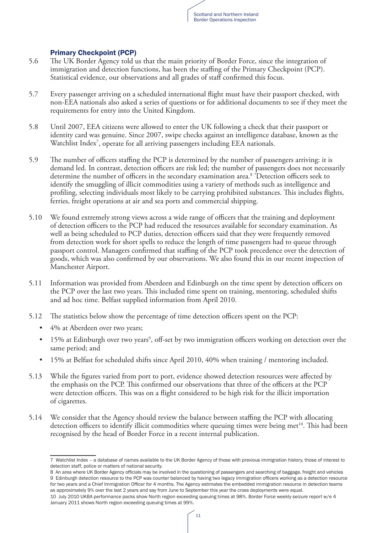

#### Primary Checkpoint (PCP)

- 5.6 The UK Border Agency told us that the main priority of Border Force, since the integration of immigration and detection functions, has been the staffing of the Primary Checkpoint (PCP). Statistical evidence, our observations and all grades of staff confirmed this focus.
- 5.7 Every passenger arriving on a scheduled international flight must have their passport checked, with non-EEA nationals also asked a series of questions or for additional documents to see if they meet the requirements for entry into the United Kingdom.
- 5.8 Until 2007, EEA citizens were allowed to enter the UK following a check that their passport or identity card was genuine. Since 2007, swipe checks against an intelligence database, known as the Watchlist Index<sup>7</sup>, operate for all arriving passengers including EEA nationals.
- 5.9 The number of officers staffing the PCP is determined by the number of passengers arriving: it is demand led. In contrast, detection officers are risk led; the number of passengers does not necessarily determine the number of officers in the secondary examination area.8 'Detection officers seek to identify the smuggling of illicit commodities using a variety of methods such as intelligence and profiling, selecting individuals most likely to be carrying prohibited substances. This includes flights, ferries, freight operations at air and sea ports and commercial shipping.
- 5.10 We found extremely strong views across a wide range of officers that the training and deployment of detection officers to the PCP had reduced the resources available for secondary examination. As well as being scheduled to PCP duties, detection officers said that they were frequently removed from detection work for short spells to reduce the length of time passengers had to queue through passport control. Managers confirmed that staffing of the PCP took precedence over the detection of goods, which was also confirmed by our observations. We also found this in our recent inspection of Manchester Airport.
- 5.11 Information was provided from Aberdeen and Edinburgh on the time spent by detection officers on the PCP over the last two years. This included time spent on training, mentoring, scheduled shifts and ad hoc time. Belfast supplied information from April 2010.
- 5.12 The statistics below show the percentage of time detection officers spent on the PCP:
	- 4% at Aberdeen over two years;
	- 15% at Edinburgh over two years<sup>9</sup>, off-set by two immigration officers working on detection over the same period; and
	- 15% at Belfast for scheduled shifts since April 2010, 40% when training / mentoring included.
- 5.13 While the figures varied from port to port, evidence showed detection resources were affected by the emphasis on the PCP. This confirmed our observations that three of the officers at the PCP were detection officers. This was on a flight considered to be high risk for the illicit importation of cigarettes.
- 5.14 We consider that the Agency should review the balance between staffing the PCP with allocating detection officers to identify illicit commodities where queuing times were being met<sup>10</sup>. This had been recognised by the head of Border Force in a recent internal publication.

- 8 An area where UK Border Agency officials may be involved in the questioning of passengers and searching of baggage, freight and vehicles 9 Edinburgh detection resource to the PCP was counter balanced by having two legacy immigration officers working as a detection resource for two years and a Chief Immigration Officer for 4 months. The Agency estimates the embedded immigration resource in detection teams as approximately 9% over the last 2 years and say from June to September this year the cross deployments were equal.
- 10 July 2010 UKBA performance packs show North region exceeding queuing times at 98%. Border Force weekly seizure report w/e 4 January 2011 shows North region exceeding queuing times at 99%.

<sup>7</sup> Watchlist Index – a database of names available to the UK Border Agency of those with previous immigration history, those of interest to detection staff, police or matters of national security.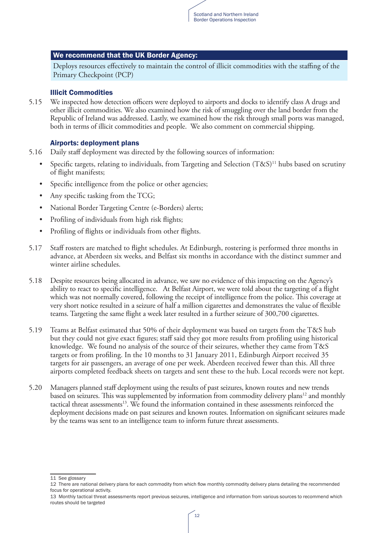

#### We recommend that the UK Border Agency:

Deploys resources effectively to maintain the control of illicit commodities with the staffing of the Primary Checkpoint (PCP)

#### Illicit Commodities

5.15 We inspected how detection officers were deployed to airports and docks to identify class A drugs and other illicit commodities. We also examined how the risk of smuggling over the land border from the Republic of Ireland was addressed. Lastly, we examined how the risk through small ports was managed, both in terms of illicit commodities and people. We also comment on commercial shipping.

#### Airports: deployment plans

- 5.16 Daily staff deployment was directed by the following sources of information:
	- Specific targets, relating to individuals, from Targeting and Selection  $(T&S)^{11}$  hubs based on scrutiny of flight manifests;
	- Specific intelligence from the police or other agencies;
	- Any specific tasking from the TCG;
	- National Border Targeting Centre (e-Borders) alerts;
	- Profiling of individuals from high risk flights;
	- Profiling of flights or individuals from other flights.
- 5.17 Staff rosters are matched to flight schedules. At Edinburgh, rostering is performed three months in advance, at Aberdeen six weeks, and Belfast six months in accordance with the distinct summer and winter airline schedules.
- 5.18 Despite resources being allocated in advance, we saw no evidence of this impacting on the Agency's ability to react to specific intelligence. At Belfast Airport, we were told about the targeting of a flight which was not normally covered, following the receipt of intelligence from the police. This coverage at very short notice resulted in a seizure of half a million cigarettes and demonstrates the value of flexible teams. Targeting the same flight a week later resulted in a further seizure of 300,700 cigarettes.
- 5.19 Teams at Belfast estimated that 50% of their deployment was based on targets from the T&S hub but they could not give exact figures; staff said they got more results from profiling using historical knowledge. We found no analysis of the source of their seizures, whether they came from T&S targets or from profiling. In the 10 months to 31 January 2011, Edinburgh Airport received 35 targets for air passengers, an average of one per week. Aberdeen received fewer than this. All three airports completed feedback sheets on targets and sent these to the hub. Local records were not kept.
- 5.20 Managers planned staff deployment using the results of past seizures, known routes and new trends based on seizures. This was supplemented by information from commodity delivery plans<sup>12</sup> and monthly tactical threat assessments<sup>13</sup>. We found the information contained in these assessments reinforced the deployment decisions made on past seizures and known routes. Information on significant seizures made by the teams was sent to an intelligence team to inform future threat assessments.

<sup>11</sup> See glossary

<sup>12</sup> There are national delivery plans for each commodity from which flow monthly commodity delivery plans detailing the recommended focus for operational activity.

<sup>13</sup> Monthly tactical threat assessments report previous seizures, intelligence and information from various sources to recommend which routes should be targeted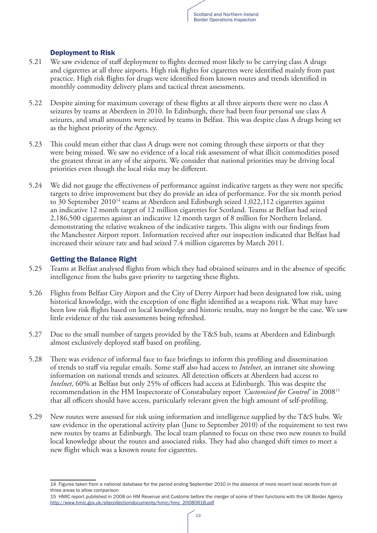

#### Deployment to Risk

- 5.21 We saw evidence of staff deployment to flights deemed most likely to be carrying class A drugs and cigarettes at all three airports. High risk flights for cigarettes were identified mainly from past practice. High risk flights for drugs were identified from known routes and trends identified in monthly commodity delivery plans and tactical threat assessments.
- 5.22 Despite aiming for maximum coverage of these flights at all three airports there were no class A seizures by teams at Aberdeen in 2010. In Edinburgh, there had been four personal use class A seizures, and small amounts were seized by teams in Belfast. This was despite class A drugs being set as the highest priority of the Agency.
- 5.23 This could mean either that class A drugs were not coming through these airports or that they were being missed. We saw no evidence of a local risk assessment of what illicit commodities posed the greatest threat in any of the airports. We consider that national priorities may be driving local priorities even though the local risks may be different.
- 5.24 We did not gauge the effectiveness of performance against indicative targets as they were not specific targets to drive improvement but they do provide an idea of performance. For the six month period to 30 September 2010<sup>14</sup> teams at Aberdeen and Edinburgh seized 1,022,112 cigarettes against an indicative 12 month target of 12 million cigarettes for Scotland. Teams at Belfast had seized 2,186,500 cigarettes against an indicative 12 month target of 8 million for Northern Ireland, demonstrating the relative weakness of the indicative targets. This aligns with our findings from the Manchester Airport report. Information received after our inspection indicated that Belfast had increased their seizure rate and had seized 7.4 million cigarettes by March 2011.

#### Getting the Balance Right

- 5.25 Teams at Belfast analysed flights from which they had obtained seizures and in the absence of specific intelligence from the hubs gave priority to targeting these flights.
- 5.26 Flights from Belfast City Airport and the City of Derry Airport had been designated low risk, using historical knowledge, with the exception of one flight identified as a weapons risk. What may have been low risk flights based on local knowledge and historic results, may no longer be the case. We saw little evidence of the risk assessments being refreshed.
- 5.27 Due to the small number of targets provided by the T&S hub, teams at Aberdeen and Edinburgh almost exclusively deployed staff based on profiling.
- 5.28 There was evidence of informal face to face briefings to inform this profiling and dissemination of trends to staff via regular emails. Some staff also had access to *Intelnet*, an intranet site showing information on national trends and seizures. All detection officers at Aberdeen had access to *Intelnet*, 60% at Belfast but only 25% of officers had access at Edinburgh. This was despite the recommendation in the HM Inspectorate of Constabulary report *'Customised for Control'* in 200815 that all officers should have access, particularly relevant given the high amount of self-profiling.
- 5.29 New routes were assessed for risk using information and intelligence supplied by the T&S hubs. We saw evidence in the operational activity plan (June to September 2010) of the requirement to test two new routes by teams at Edinburgh. The local team planned to focus on these two new routes to build local knowledge about the routes and associated risks. They had also changed shift times to meet a new flight which was a known route for cigarettes.

15 HMIC report published in 2008 on HM Revenue and Customs before the merger of some of their functions with the UK Border Agency http://www.hmic.gov.uk/sitecollectiondocuments/hmrc/hmc\_20080618.pdf

<sup>14</sup> Figures taken from a national database for the period ending September 2010 in the absence of more recent local records from all three areas to allow comparison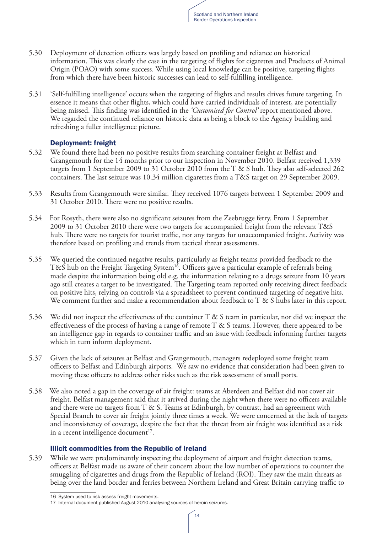- 5.30 Deployment of detection officers was largely based on profiling and reliance on historical information. This was clearly the case in the targeting of flights for cigarettes and Products of Animal Origin (POAO) with some success. While using local knowledge can be positive, targeting flights from which there have been historic successes can lead to self-fulfilling intelligence.
- 5.31 'Self-fulfilling intelligence' occurs when the targeting of flights and results drives future targeting. In essence it means that other flights, which could have carried individuals of interest, are potentially being missed. This finding was identified in the *'Customised for Control'* report mentioned above. We regarded the continued reliance on historic data as being a block to the Agency building and refreshing a fuller intelligence picture.

#### Deployment: freight

- 5.32 We found there had been no positive results from searching container freight at Belfast and Grangemouth for the 14 months prior to our inspection in November 2010. Belfast received 1,339 targets from 1 September 2009 to 31 October 2010 from the T & S hub. They also self-selected 262 containers. The last seizure was 10.34 million cigarettes from a T&S target on 29 September 2009.
- 5.33 Results from Grangemouth were similar. They received 1076 targets between 1 September 2009 and 31 October 2010. There were no positive results.
- 5.34 For Rosyth, there were also no significant seizures from the Zeebrugge ferry. From 1 September 2009 to 31 October 2010 there were two targets for accompanied freight from the relevant T&S hub. There were no targets for tourist traffic, nor any targets for unaccompanied freight. Activity was therefore based on profiling and trends from tactical threat assessments.
- 5.35 We queried the continued negative results, particularly as freight teams provided feedback to the T&S hub on the Freight Targeting System<sup>16</sup>. Officers gave a particular example of referrals being made despite the information being old e.g. the information relating to a drugs seizure from 10 years ago still creates a target to be investigated. The Targeting team reported only receiving direct feedback on positive hits, relying on controls via a spreadsheet to prevent continued targeting of negative hits. We comment further and make a recommendation about feedback to T & S hubs later in this report.
- 5.36 We did not inspect the effectiveness of the container T & S team in particular, nor did we inspect the effectiveness of the process of having a range of remote T & S teams. However, there appeared to be an intelligence gap in regards to container traffic and an issue with feedback informing further targets which in turn inform deployment.
- 5.37 Given the lack of seizures at Belfast and Grangemouth, managers redeployed some freight team officers to Belfast and Edinburgh airports. We saw no evidence that consideration had been given to moving these officers to address other risks such as the risk assessment of small ports.
- 5.38 We also noted a gap in the coverage of air freight: teams at Aberdeen and Belfast did not cover air freight. Belfast management said that it arrived during the night when there were no officers available and there were no targets from  $T \& S$ . Teams at Edinburgh, by contrast, had an agreement with Special Branch to cover air freight jointly three times a week. We were concerned at the lack of targets and inconsistency of coverage, despite the fact that the threat from air freight was identified as a risk in a recent intelligence document $1^7$ .

#### Illicit commodities from the Republic of Ireland

5.39 While we were predominantly inspecting the deployment of airport and freight detection teams, officers at Belfast made us aware of their concern about the low number of operations to counter the smuggling of cigarettes and drugs from the Republic of Ireland (ROI). They saw the main threats as being over the land border and ferries between Northern Ireland and Great Britain carrying traffic to

<sup>16</sup> System used to risk assess freight movements.

<sup>17</sup> Internal document published August 2010 analysing sources of heroin seizures.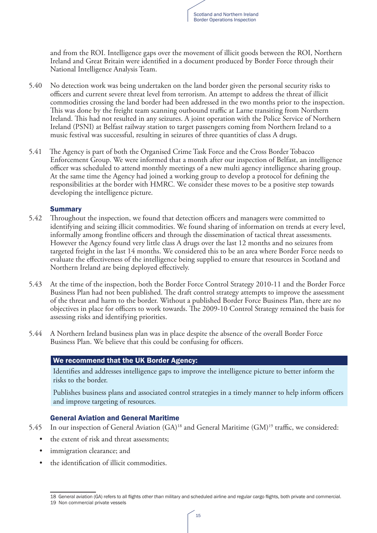and from the ROI. Intelligence gaps over the movement of illicit goods between the ROI, Northern Ireland and Great Britain were identified in a document produced by Border Force through their National Intelligence Analysis Team.

- 5.40 No detection work was being undertaken on the land border given the personal security risks to officers and current severe threat level from terrorism. An attempt to address the threat of illicit commodities crossing the land border had been addressed in the two months prior to the inspection. This was done by the freight team scanning outbound traffic at Larne transiting from Northern Ireland. This had not resulted in any seizures. A joint operation with the Police Service of Northern Ireland (PSNI) at Belfast railway station to target passengers coming from Northern Ireland to a music festival was successful, resulting in seizures of three quantities of class A drugs.
- 5.41 The Agency is part of both the Organised Crime Task Force and the Cross Border Tobacco Enforcement Group. We were informed that a month after our inspection of Belfast, an intelligence officer was scheduled to attend monthly meetings of a new multi agency intelligence sharing group. At the same time the Agency had joined a working group to develop a protocol for defining the responsibilities at the border with HMRC. We consider these moves to be a positive step towards developing the intelligence picture.

#### **Summary**

- 5.42 Throughout the inspection, we found that detection officers and managers were committed to identifying and seizing illicit commodities. We found sharing of information on trends at every level, informally among frontline officers and through the dissemination of tactical threat assessments. However the Agency found very little class A drugs over the last 12 months and no seizures from targeted freight in the last 14 months. We considered this to be an area where Border Force needs to evaluate the effectiveness of the intelligence being supplied to ensure that resources in Scotland and Northern Ireland are being deployed effectively.
- 5.43 At the time of the inspection, both the Border Force Control Strategy 2010-11 and the Border Force Business Plan had not been published. The draft control strategy attempts to improve the assessment of the threat and harm to the border. Without a published Border Force Business Plan, there are no objectives in place for officers to work towards. The 2009-10 Control Strategy remained the basis for assessing risks and identifying priorities.
- 5.44 A Northern Ireland business plan was in place despite the absence of the overall Border Force Business Plan. We believe that this could be confusing for officers.

#### We recommend that the UK Border Agency:

Identifies and addresses intelligence gaps to improve the intelligence picture to better inform the risks to the border.

Publishes business plans and associated control strategies in a timely manner to help inform officers and improve targeting of resources.

#### General Aviation and General Maritime

- 5.45 In our inspection of General Aviation (GA)18 and General Maritime (GM)19 traffic, we considered:
	- the extent of risk and threat assessments;
	- immigration clearance; and
	- the identification of illicit commodities.

<sup>18</sup> General aviation (GA) refers to all flights *other than* military and scheduled airline and regular cargo flights, both private and commercial. 19 Non commercial private vessels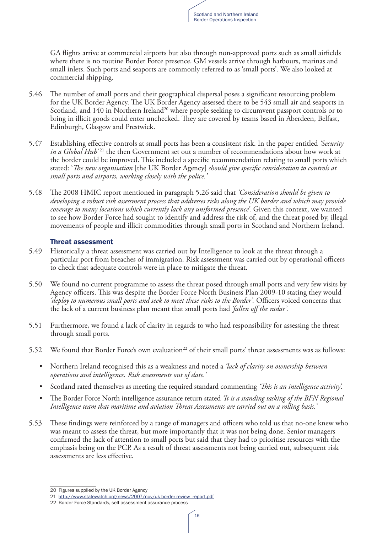GA flights arrive at commercial airports but also through non-approved ports such as small airfields where there is no routine Border Force presence. GM vessels arrive through harbours, marinas and small inlets. Such ports and seaports are commonly referred to as 'small ports'. We also looked at commercial shipping.

- 5.46 The number of small ports and their geographical dispersal poses a significant resourcing problem for the UK Border Agency. The UK Border Agency assessed there to be 543 small air and seaports in Scotland, and 140 in Northern Ireland<sup>20</sup> where people seeking to circumvent passport controls or to bring in illicit goods could enter unchecked. They are covered by teams based in Aberdeen, Belfast, Edinburgh, Glasgow and Prestwick.
- 5.47 Establishing effective controls at small ports has been a consistent risk. In the paper entitled *'Security in a Global Hub*<sup>'21</sup> the then Government set out a number of recommendations about how work at the border could be improved. This included a specific recommendation relating to small ports which stated: '*The new organisation* [the UK Border Agency] *should give specific consideration to controls at small ports and airports, working closely with the police.'*
- 5.48 The 2008 HMIC report mentioned in paragraph 5.26 said that *'Consideration should be given to developing a robust risk assessment process that addresses risks along the UK border and which may provide coverage to many locations which currently lack any uniformed presence'.* Given this context, we wanted to see how Border Force had sought to identify and address the risk of, and the threat posed by, illegal movements of people and illicit commodities through small ports in Scotland and Northern Ireland.

#### Threat assessment

- 5.49 Historically a threat assessment was carried out by Intelligence to look at the threat through a particular port from breaches of immigration. Risk assessment was carried out by operational officers to check that adequate controls were in place to mitigate the threat.
- 5.50 We found no current programme to assess the threat posed through small ports and very few visits by Agency officers. This was despite the Border Force North Business Plan 2009-10 stating they would *'deploy to numerous small ports and seek to meet these risks to the Border'.* Officers voiced concerns that the lack of a current business plan meant that small ports had *'fallen off the radar'.*
- 5.51 Furthermore, we found a lack of clarity in regards to who had responsibility for assessing the threat through small ports.
- 5.52 We found that Border Force's own evaluation<sup>22</sup> of their small ports' threat assessments was as follows:
	- Northern Ireland recognised this as a weakness and noted a *'lack of clarity on ownership between operations and intelligence. Risk assessments out of date.'*
	- Scotland rated themselves as meeting the required standard commenting *This is an intelligence activity'*.
	- The Border Force North intelligence assurance return stated *'It is a standing tasking of the BFN Regional Intelligence team that maritime and aviation Threat Assessments are carried out on a rolling basis.'*
- 5.53 These findings were reinforced by a range of managers and officers who told us that no-one knew who was meant to assess the threat, but more importantly that it was not being done. Senior managers confirmed the lack of attention to small ports but said that they had to prioritise resources with the emphasis being on the PCP. As a result of threat assessments not being carried out, subsequent risk assessments are less effective.

<sup>20</sup> Figures supplied by the UK Border Agency

<sup>21</sup> http://www.statewatch.org/news/2007/nov/uk-border-review- report.pdf

<sup>22</sup> Border Force Standards, self assessment assurance process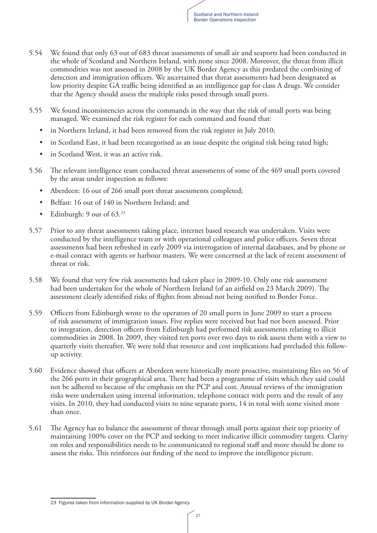

- 5.54 We found that only 63 out of 683 threat assessments of small air and seaports had been conducted in the whole of Scotland and Northern Ireland, with none since 2008. Moreover, the threat from illicit commodities was not assessed in 2008 by the UK Border Agency as this predated the combining of detection and immigration officers. We ascertained that threat assessments had been designated as low priority despite GA traffic being identified as an intelligence gap for class A drugs. We consider that the Agency should assess the multiple risks posed through small ports.
- 5.55 We found inconsistencies across the commands in the way that the risk of small ports was being managed. We examined the risk register for each command and found that:
	- in Northern Ireland, it had been removed from the risk register in July 2010;
	- in Scotland East, it had been recategorised as an issue despite the original risk being rated high;
	- in Scotland West, it was an active risk.
- 5.56 The relevant intelligence team conducted threat assessments of some of the 469 small ports covered by the areas under inspection as follows:
	- Aberdeen: 16 out of 266 small port threat assessments completed;
	- Belfast: 16 out of 140 in Northern Ireland; and
	- Edinburgh: 9 out of  $63.^{23}$
- 5.57 Prior to any threat assessments taking place, internet based research was undertaken. Visits were conducted by the intelligence team or with operational colleagues and police officers. Seven threat assessments had been refreshed in early 2009 via interrogation of internal databases, and by phone or e-mail contact with agents or harbour masters. We were concerned at the lack of recent assessment of threat or risk.
- 5.58 We found that very few risk assessments had taken place in 2009-10. Only one risk assessment had been undertaken for the whole of Northern Ireland (of an airfield on 23 March 2009). The assessment clearly identified risks of flights from abroad not being notified to Border Force.
- 5.59 Officers from Edinburgh wrote to the operators of 20 small ports in June 2009 to start a process of risk assessment of immigration issues. Five replies were received but had not been assessed. Prior to integration, detection officers from Edinburgh had performed risk assessments relating to illicit commodities in 2008. In 2009, they visited ten ports over two days to risk assess them with a view to quarterly visits thereafter. We were told that resource and cost implications had precluded this followup activity.
- 5.60 Evidence showed that officers at Aberdeen were historically more proactive, maintaining files on 56 of the 266 ports in their geographical area. There had been a programme of visits which they said could not be adhered to because of the emphasis on the PCP and cost. Annual reviews of the immigration risks were undertaken using internal information, telephone contact with ports and the result of any visits. In 2010, they had conducted visits to nine separate ports, 14 in total with some visited more than once.
- 5.61 The Agency has to balance the assessment of threat through small ports against their top priority of maintaining 100% cover on the PCP and seeking to meet indicative illicit commodity targets. Clarity on roles and responsibilities needs to be communicated to regional staff and more should be done to assess the risks. This reinforces our finding of the need to improve the intelligence picture.

<sup>23</sup> Figures taken from information supplied by UK Border Agency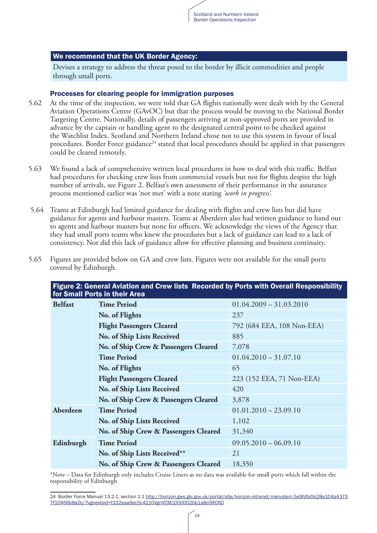

#### We recommend that the UK Border Agency:

Devises a strategy to address the threat posed to the border by illicit commodities and people through small ports.

#### Processes for clearing people for immigration purposes

- 5.62 At the time of the inspection, we were told that GA flights nationally were dealt with by the General Aviation Operations Centre (GAvOC) but that the process would be moving to the National Border Targeting Centre. Nationally, details of passengers arriving at non-approved ports are provided in advance by the captain or handling agent to the designated central point to be checked against the Watchlist Index. Scotland and Northern Ireland chose not to use this system in favour of local procedures. Border Force guidance<sup>24</sup> stated that local procedures should be applied in that passengers could be cleared remotely.
- 5.63 We found a lack of comprehensive written local procedures in how to deal with this traffic. Belfast had procedures for checking crew lists from commercial vessels but not for flights despite the high number of arrivals, see Figure 2. Belfast's own assessment of their performance in the assurance process mentioned earlier was 'not met' with a note stating *'work in progress'.*
- 5.64 Teams at Edinburgh had limited guidance for dealing with flights and crew lists but did have guidance for agents and harbour masters. Teams at Aberdeen also had written guidance to hand out to agents and harbour masters but none for officers. We acknowledge the views of the Agency that they had small ports teams who knew the procedures but a lack of guidance can lead to a lack of consistency. Nor did this lack of guidance allow for effective planning and business continuity.

| Figure 2: General Aviation and Crew lists Recorded by Ports with Overall Responsibility<br>for Small Ports in their Area |                                       |                            |
|--------------------------------------------------------------------------------------------------------------------------|---------------------------------------|----------------------------|
| <b>Belfast</b>                                                                                                           | <b>Time Period</b>                    | $01.04.2009 - 31.03.2010$  |
|                                                                                                                          | No. of Flights                        | 237                        |
|                                                                                                                          | <b>Flight Passengers Cleared</b>      | 792 (684 EEA, 108 Non-EEA) |
|                                                                                                                          | No. of Ship Lists Received            | 885                        |
|                                                                                                                          | No. of Ship Crew & Passengers Cleared | 7,078                      |
|                                                                                                                          | <b>Time Period</b>                    | $01.04.2010 - 31.07.10$    |
|                                                                                                                          | No. of Flights                        | 65                         |
|                                                                                                                          | <b>Flight Passengers Cleared</b>      | 223 (152 EEA, 71 Non-EEA)  |
|                                                                                                                          | No. of Ship Lists Received            | 420                        |
|                                                                                                                          | No. of Ship Crew & Passengers Cleared | 3,878                      |
| Aberdeen                                                                                                                 | <b>Time Period</b>                    | $01.01.2010 - 23.09.10$    |
|                                                                                                                          | No. of Ship Lists Received            | 1,102                      |
|                                                                                                                          | No. of Ship Crew & Passengers Cleared | 31,340                     |
| Edinburgh                                                                                                                | <b>Time Period</b>                    | $09.05.2010 - 06.09.10$    |
|                                                                                                                          | No. of Ship Lists Received**          | 21                         |
|                                                                                                                          | No. of Ship Crew & Passengers Cleared | 18,350                     |

5.65 Figures are provided below on GA and crew lists. Figures were not available for the small ports covered by Edinburgh.

\*Note – Data for Edinburgh only includes Cruise Liners as no data was available for small ports which fall within the responsibility of Edinburgh

<sup>24</sup> Border Force Manual 13.2.1, section 2.1 http://horizon.gws.gsi.gov.uk/portal/site/horizon-intranet/menuitem.5e9fdfa5b28a104a4375 7f10466b8a0c/?vgnextoid=f332eaa9ec5c4210VgnVCM1000002bb1a8c0RCRD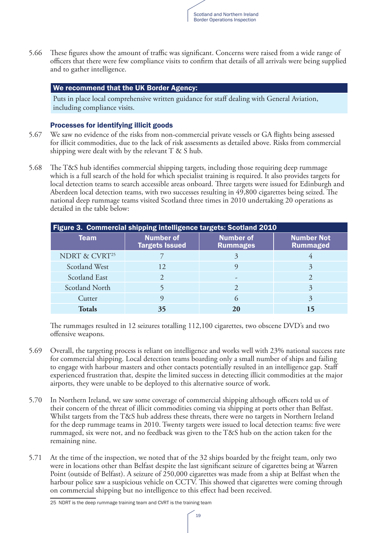

5.66 These figures show the amount of traffic was significant. Concerns were raised from a wide range of officers that there were few compliance visits to confirm that details of all arrivals were being supplied and to gather intelligence.

#### We recommend that the UK Border Agency:

Puts in place local comprehensive written guidance for staff dealing with General Aviation, including compliance visits.

#### Processes for identifying illicit goods

- 5.67 We saw no evidence of the risks from non-commercial private vessels or GA flights being assessed for illicit commodities, due to the lack of risk assessments as detailed above. Risks from commercial shipping were dealt with by the relevant  $T \& S$  hub.
- 5.68 The T&S hub identifies commercial shipping targets, including those requiring deep rummage which is a full search of the hold for which specialist training is required. It also provides targets for local detection teams to search accessible areas onboard. Three targets were issued for Edinburgh and Aberdeen local detection teams, with two successes resulting in 49,800 cigarettes being seized. The national deep rummage teams visited Scotland three times in 2010 undertaking 20 operations as detailed in the table below:

| Figure 3. Commercial shipping intelligence targets: Scotland 2010 |                                           |                                     |                                      |
|-------------------------------------------------------------------|-------------------------------------------|-------------------------------------|--------------------------------------|
| Team                                                              | <b>Number of</b><br><b>Targets Issued</b> | <b>Number of</b><br><b>Rummages</b> | <b>Number Not</b><br><b>Rummaged</b> |
| NDRT & CVRT <sup>25</sup>                                         |                                           | 3                                   |                                      |
| Scotland West                                                     | 12                                        |                                     | 3                                    |
| Scotland East                                                     | $\mathcal{D}_{\cdot}$                     |                                     |                                      |
| Scotland North                                                    |                                           |                                     | 3                                    |
| Cutter                                                            |                                           |                                     |                                      |
| <b>Totals</b>                                                     | 35                                        |                                     |                                      |

The rummages resulted in 12 seizures totalling 112,100 cigarettes, two obscene DVD's and two offensive weapons.

- 5.69 Overall, the targeting process is reliant on intelligence and works well with 23% national success rate for commercial shipping. Local detection teams boarding only a small number of ships and failing to engage with harbour masters and other contacts potentially resulted in an intelligence gap. Staff experienced frustration that, despite the limited success in detecting illicit commodities at the major airports, they were unable to be deployed to this alternative source of work.
- 5.70 In Northern Ireland, we saw some coverage of commercial shipping although officers told us of their concern of the threat of illicit commodities coming via shipping at ports other than Belfast. Whilst targets from the T&S hub address these threats, there were no targets in Northern Ireland for the deep rummage teams in 2010. Twenty targets were issued to local detection teams: five were rummaged, six were not, and no feedback was given to the T&S hub on the action taken for the remaining nine.
- 5.71 At the time of the inspection, we noted that of the 32 ships boarded by the freight team, only two were in locations other than Belfast despite the last significant seizure of cigarettes being at Warren Point (outside of Belfast). A seizure of 250,000 cigarettes was made from a ship at Belfast when the harbour police saw a suspicious vehicle on CCTV. This showed that cigarettes were coming through on commercial shipping but no intelligence to this effect had been received.

<sup>25</sup> NDRT is the deep rummage training team and CVRT is the training team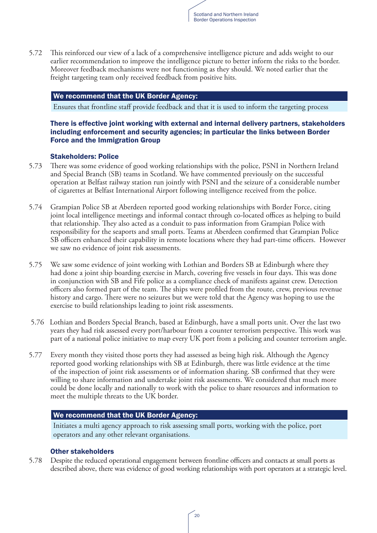5.72 This reinforced our view of a lack of a comprehensive intelligence picture and adds weight to our earlier recommendation to improve the intelligence picture to better inform the risks to the border. Moreover feedback mechanisms were not functioning as they should. We noted earlier that the freight targeting team only received feedback from positive hits.

#### We recommend that the UK Border Agency:

Ensures that frontline staff provide feedback and that it is used to inform the targeting process

#### There is effective joint working with external and internal delivery partners, stakeholders including enforcement and security agencies; in particular the links between Border Force and the Immigration Group

#### Stakeholders: Police

- 5.73 There was some evidence of good working relationships with the police, PSNI in Northern Ireland and Special Branch (SB) teams in Scotland. We have commented previously on the successful operation at Belfast railway station run jointly with PSNI and the seizure of a considerable number of cigarettes at Belfast International Airport following intelligence received from the police.
- 5.74 Grampian Police SB at Aberdeen reported good working relationships with Border Force, citing joint local intelligence meetings and informal contact through co-located offices as helping to build that relationship. They also acted as a conduit to pass information from Grampian Police with responsibility for the seaports and small ports. Teams at Aberdeen confirmed that Grampian Police SB officers enhanced their capability in remote locations where they had part-time officers. However we saw no evidence of joint risk assessments.
- 5.75 We saw some evidence of joint working with Lothian and Borders SB at Edinburgh where they had done a joint ship boarding exercise in March, covering five vessels in four days. This was done in conjunction with SB and Fife police as a compliance check of manifests against crew. Detection officers also formed part of the team. The ships were profiled from the route, crew, previous revenue history and cargo. There were no seizures but we were told that the Agency was hoping to use the exercise to build relationships leading to joint risk assessments.
- 5.76 Lothian and Borders Special Branch, based at Edinburgh, have a small ports unit. Over the last two years they had risk assessed every port/harbour from a counter terrorism perspective. This work was part of a national police initiative to map every UK port from a policing and counter terrorism angle.
- 5.77 Every month they visited those ports they had assessed as being high risk. Although the Agency reported good working relationships with SB at Edinburgh, there was little evidence at the time of the inspection of joint risk assessments or of information sharing. SB confirmed that they were willing to share information and undertake joint risk assessments. We considered that much more could be done locally and nationally to work with the police to share resources and information to meet the multiple threats to the UK border.

#### We recommend that the UK Border Agency:

Initiates a multi agency approach to risk assessing small ports, working with the police, port operators and any other relevant organisations.

#### Other stakeholders

5.78 Despite the reduced operational engagement between frontline officers and contacts at small ports as described above, there was evidence of good working relationships with port operators at a strategic level.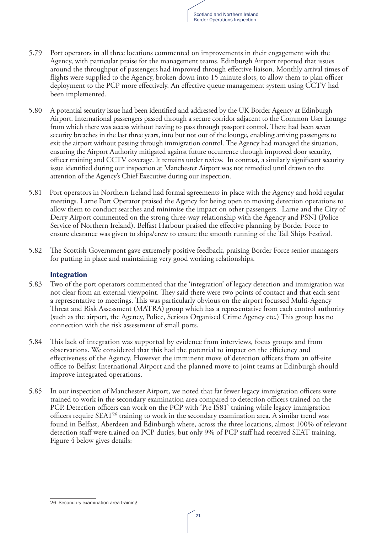

- 5.79 Port operators in all three locations commented on improvements in their engagement with the Agency, with particular praise for the management teams. Edinburgh Airport reported that issues around the throughput of passengers had improved through effective liaison. Monthly arrival times of flights were supplied to the Agency, broken down into 15 minute slots, to allow them to plan officer deployment to the PCP more effectively. An effective queue management system using CCTV had been implemented.
- 5.80 A potential security issue had been identified and addressed by the UK Border Agency at Edinburgh Airport. International passengers passed through a secure corridor adjacent to the Common User Lounge from which there was access without having to pass through passport control. There had been seven security breaches in the last three years, into but not out of the lounge, enabling arriving passengers to exit the airport without passing through immigration control. The Agency had managed the situation, ensuring the Airport Authority mitigated against future occurrence through improved door security, officer training and CCTV coverage. It remains under review. In contrast, a similarly significant security issue identified during our inspection at Manchester Airport was not remedied until drawn to the attention of the Agency's Chief Executive during our inspection.
- 5.81 Port operators in Northern Ireland had formal agreements in place with the Agency and hold regular meetings. Larne Port Operator praised the Agency for being open to moving detection operations to allow them to conduct searches and minimise the impact on other passengers. Larne and the City of Derry Airport commented on the strong three-way relationship with the Agency and PSNI (Police Service of Northern Ireland). Belfast Harbour praised the effective planning by Border Force to ensure clearance was given to ships/crew to ensure the smooth running of the Tall Ships Festival.
- 5.82 The Scottish Government gave extremely positive feedback, praising Border Force senior managers for putting in place and maintaining very good working relationships.

#### Integration

- 5.83 Two of the port operators commented that the 'integration' of legacy detection and immigration was not clear from an external viewpoint. They said there were two points of contact and that each sent a representative to meetings. This was particularly obvious on the airport focussed Multi-Agency Threat and Risk Assessment (MATRA) group which has a representative from each control authority (such as the airport, the Agency, Police, Serious Organised Crime Agency etc.) This group has no connection with the risk assessment of small ports.
- 5.84 This lack of integration was supported by evidence from interviews, focus groups and from observations. We considered that this had the potential to impact on the efficiency and effectiveness of the Agency. However the imminent move of detection officers from an off-site office to Belfast International Airport and the planned move to joint teams at Edinburgh should improve integrated operations.
- 5.85 In our inspection of Manchester Airport, we noted that far fewer legacy immigration officers were trained to work in the secondary examination area compared to detection officers trained on the PCP. Detection officers can work on the PCP with 'Pre IS81' training while legacy immigration officers require SEAT<sup>26</sup> training to work in the secondary examination area. A similar trend was found in Belfast, Aberdeen and Edinburgh where, across the three locations, almost 100% of relevant detection staff were trained on PCP duties, but only 9% of PCP staff had received SEAT training. Figure 4 below gives details:

<sup>26</sup> Secondary examination area training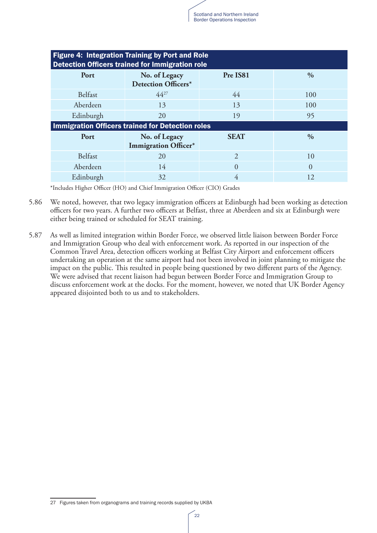| <b>Figure 4: Integration Training by Port and Role</b><br><b>Detection Officers trained for Immigration role</b> |                                                         |               |               |  |
|------------------------------------------------------------------------------------------------------------------|---------------------------------------------------------|---------------|---------------|--|
| Port                                                                                                             | No. of Legacy<br>Detection Officers*                    | Pre IS81      | $\frac{0}{0}$ |  |
| Belfast                                                                                                          | $44^{27}$                                               | 44            | 100           |  |
| Aberdeen                                                                                                         | 13                                                      | 13            | 100           |  |
| Edinburgh                                                                                                        | 20                                                      | 19            | 95            |  |
|                                                                                                                  | <b>Immigration Officers trained for Detection roles</b> |               |               |  |
| Port                                                                                                             | No. of Legacy<br>Immigration Officer*                   | <b>SEAT</b>   | $\frac{0}{0}$ |  |
| Belfast                                                                                                          | 20                                                      | $\mathcal{L}$ | 10            |  |
| Aberdeen                                                                                                         | 14                                                      | $\Omega$      | $\Omega$      |  |
| Edinburgh                                                                                                        | 32                                                      | 4             | 12            |  |

\*Includes Higher Officer (HO) and Chief Immigration Officer (CIO) Grades <sup>27</sup>

- 5.86 We noted, however, that two legacy immigration officers at Edinburgh had been working as detection officers for two years. A further two officers at Belfast, three at Aberdeen and six at Edinburgh were either being trained or scheduled for SEAT training.
- 5.87 As well as limited integration within Border Force, we observed little liaison between Border Force and Immigration Group who deal with enforcement work. As reported in our inspection of the Common Travel Area, detection officers working at Belfast City Airport and enforcement officers undertaking an operation at the same airport had not been involved in joint planning to mitigate the impact on the public. This resulted in people being questioned by two different parts of the Agency. We were advised that recent liaison had begun between Border Force and Immigration Group to discuss enforcement work at the docks. For the moment, however, we noted that UK Border Agency appeared disjointed both to us and to stakeholders.

<sup>27</sup> Figures taken from organograms and training records supplied by UKBA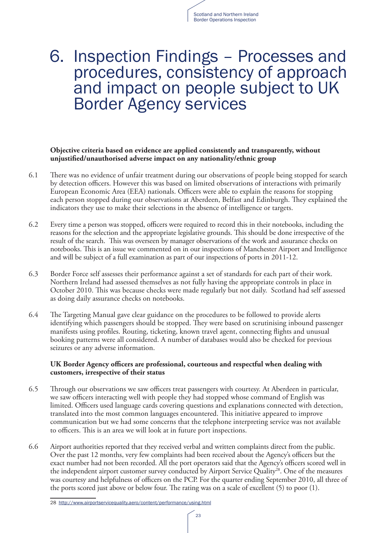### 6. Inspection Findings – Processes and procedures, consistency of approach and impact on people subject to UK Border Agency services

#### **Objective criteria based on evidence are applied consistently and transparently, without unjustified/unauthorised adverse impact on any nationality/ethnic group**

- 6.1 There was no evidence of unfair treatment during our observations of people being stopped for search by detection officers. However this was based on limited observations of interactions with primarily European Economic Area (EEA) nationals. Officers were able to explain the reasons for stopping each person stopped during our observations at Aberdeen, Belfast and Edinburgh. They explained the indicators they use to make their selections in the absence of intelligence or targets.
- 6.2 Every time a person was stopped, officers were required to record this in their notebooks, including the reasons for the selection and the appropriate legislative grounds. This should be done irrespective of the result of the search. This was overseen by manager observations of the work and assurance checks on notebooks. This is an issue we commented on in our inspections of Manchester Airport and Intelligence and will be subject of a full examination as part of our inspections of ports in 2011-12.
- 6.3 Border Force self assesses their performance against a set of standards for each part of their work. Northern Ireland had assessed themselves as not fully having the appropriate controls in place in October 2010. This was because checks were made regularly but not daily. Scotland had self assessed as doing daily assurance checks on notebooks.
- 6.4 The Targeting Manual gave clear guidance on the procedures to be followed to provide alerts identifying which passengers should be stopped. They were based on scrutinising inbound passenger manifests using profiles. Routing, ticketing, known travel agent, connecting flights and unusual booking patterns were all considered. A number of databases would also be checked for previous seizures or any adverse information.

#### **UK Border Agency officers are professional, courteous and respectful when dealing with customers, irrespective of their status**

- 6.5 Through our observations we saw officers treat passengers with courtesy. At Aberdeen in particular, we saw officers interacting well with people they had stopped whose command of English was limited. Officers used language cards covering questions and explanations connected with detection, translated into the most common languages encountered. This initiative appeared to improve communication but we had some concerns that the telephone interpreting service was not available to officers. This is an area we will look at in future port inspections.
- 6.6 Airport authorities reported that they received verbal and written complaints direct from the public. Over the past 12 months, very few complaints had been received about the Agency's officers but the exact number had not been recorded. All the port operators said that the Agency's officers scored well in the independent airport customer survey conducted by Airport Service Quality<sup>28</sup>. One of the measures was courtesy and helpfulness of officers on the PCP. For the quarter ending September 2010, all three of the ports scored just above or below four. The rating was on a scale of excellent (5) to poor (1).

<sup>28</sup> http://www.airportservicequality.aero/content/performance/using.html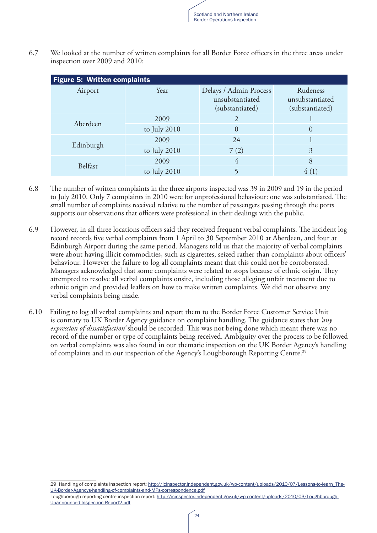

6.7 We looked at the number of written complaints for all Border Force officers in the three areas under inspection over 2009 and 2010:

| <b>Figure 5: Written complaints</b> |                |                                                              |                                                |
|-------------------------------------|----------------|--------------------------------------------------------------|------------------------------------------------|
| Airport                             | Year           | Delays / Admin Process<br>unsubstantiated<br>(substantiated) | Rudeness<br>unsubstantiated<br>(substantiated) |
| Aberdeen                            | 2009           | $\mathfrak{D}$                                               |                                                |
|                                     | to July 2010   | $\Omega$                                                     | $\Omega$                                       |
|                                     | 2009           | 24                                                           |                                                |
| Edinburgh                           | to July 2010   | 7(2)                                                         | 3                                              |
| Belfast                             | 2009           | $\overline{4}$                                               | 8                                              |
|                                     | to July $2010$ |                                                              |                                                |

- 6.8 The number of written complaints in the three airports inspected was 39 in 2009 and 19 in the period to July 2010. Only 7 complaints in 2010 were for unprofessional behaviour: one was substantiated. The small number of complaints received relative to the number of passengers passing through the ports supports our observations that officers were professional in their dealings with the public.
- 6.9 However, in all three locations officers said they received frequent verbal complaints. The incident log record records five verbal complaints from 1 April to 30 September 2010 at Aberdeen, and four at Edinburgh Airport during the same period. Managers told us that the majority of verbal complaints were about having illicit commodities, such as cigarettes, seized rather than complaints about officers' behaviour. However the failure to log all complaints meant that this could not be corroborated. Managers acknowledged that some complaints were related to stops because of ethnic origin. They attempted to resolve all verbal complaints onsite, including those alleging unfair treatment due to ethnic origin and provided leaflets on how to make written complaints. We did not observe any verbal complaints being made.
- 6.10 Failing to log all verbal complaints and report them to the Border Force Customer Service Unit is contrary to UK Border Agency guidance on complaint handling. The guidance states that *'any expression of dissatisfaction'* should be recorded. This was not being done which meant there was no record of the number or type of complaints being received. Ambiguity over the process to be followed on verbal complaints was also found in our thematic inspection on the UK Border Agency's handling of complaints and in our inspection of the Agency's Loughborough Reporting Centre.<sup>29</sup>

<sup>29</sup> Handling of complaints inspection report: http://icinspector.independent.gov.uk/wp-content/uploads/2010/07/Lessons-to-learn\_The-UK-Border-Agencys-handling-of-complaints-and-MPs-correspondence.pdf

Loughborough reporting centre inspection report: http://icinspector.independent.gov.uk/wp-content/uploads/2010/03/Loughborough-Unannounced-Inspection-Report2.pdf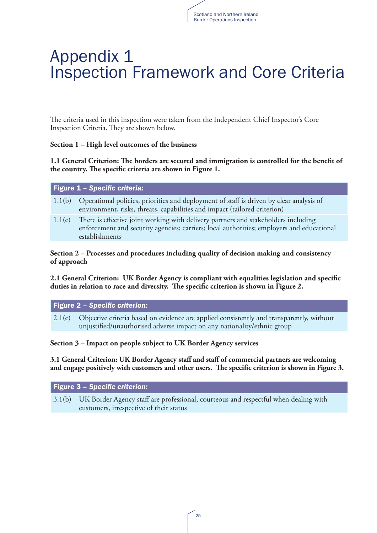### Appendix 1 Inspection Framework and Core Criteria

The criteria used in this inspection were taken from the Independent Chief Inspector's Core Inspection Criteria. They are shown below.

#### **Section 1 – High level outcomes of the business**

**1.1 General Criterion: The borders are secured and immigration is controlled for the benefit of the country. The specific criteria are shown in Figure 1.**

| <b>Figure 1 - Specific criteria:</b> |  |
|--------------------------------------|--|
|                                      |  |

- 1.1(b) Operational policies, priorities and deployment of staff is driven by clear analysis of environment, risks, threats, capabilities and impact (tailored criterion)
- 1.1(c) There is effective joint working with delivery partners and stakeholders including enforcement and security agencies; carriers; local authorities; employers and educational establishments

**Section 2 – Processes and procedures including quality of decision making and consistency of approach**

**2.1 General Criterion: UK Border Agency is compliant with equalities legislation and specific duties in relation to race and diversity. The specific criterion is shown in Figure 2.**

#### Figure 2 *– Specific criterion:*

2.1(c) Objective criteria based on evidence are applied consistently and transparently, without unjustified/unauthorised adverse impact on any nationality/ethnic group

#### **Section 3 – Impact on people subject to UK Border Agency services**

**3.1 General Criterion: UK Border Agency staff and staff of commercial partners are welcoming and engage positively with customers and other users. The specific criterion is shown in Figure 3.**

Figure 3 *– Specific criterion:*

3.1(b) UK Border Agency staff are professional, courteous and respectful when dealing with customers, irrespective of their status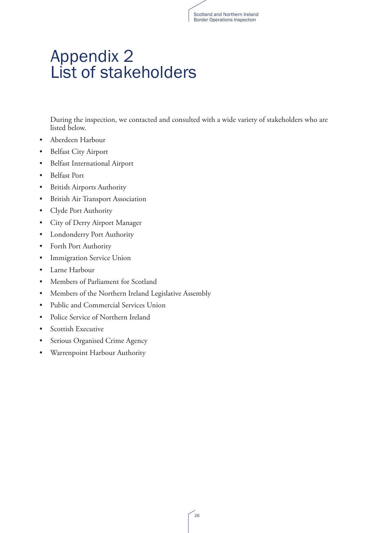### Appendix 2 List of stakeholders

During the inspection, we contacted and consulted with a wide variety of stakeholders who are listed below.

- • Aberdeen Harbour
- • Belfast City Airport
- • Belfast International Airport
- • Belfast Port
- • British Airports Authority
- • British Air Transport Association
- • Clyde Port Authority
- • City of Derry Airport Manager
- • Londonderry Port Authority
- • Forth Port Authority
- • Immigration Service Union
- • Larne Harbour
- • Members of Parliament for Scotland
- Members of the Northern Ireland Legislative Assembly
- • Public and Commercial Services Union
- Police Service of Northern Ireland
- Scottish Executive
- • Serious Organised Crime Agency
- • Warrenpoint Harbour Authority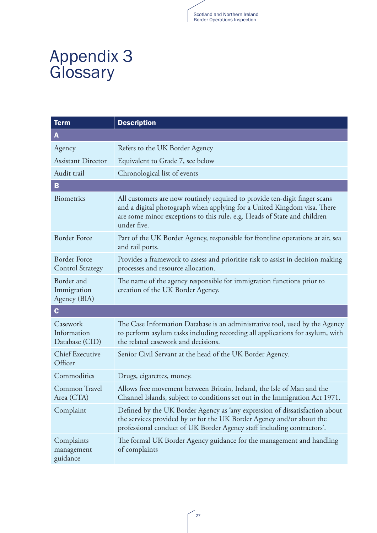### Appendix 3 **Glossary**

| <b>Term</b>                                    | <b>Description</b>                                                                                                                                                                                                                               |
|------------------------------------------------|--------------------------------------------------------------------------------------------------------------------------------------------------------------------------------------------------------------------------------------------------|
| A                                              |                                                                                                                                                                                                                                                  |
| Agency                                         | Refers to the UK Border Agency                                                                                                                                                                                                                   |
| <b>Assistant Director</b>                      | Equivalent to Grade 7, see below                                                                                                                                                                                                                 |
| Audit trail                                    | Chronological list of events                                                                                                                                                                                                                     |
| B                                              |                                                                                                                                                                                                                                                  |
| <b>Biometrics</b>                              | All customers are now routinely required to provide ten-digit finger scans<br>and a digital photograph when applying for a United Kingdom visa. There<br>are some minor exceptions to this rule, e.g. Heads of State and children<br>under five. |
| <b>Border Force</b>                            | Part of the UK Border Agency, responsible for frontline operations at air, sea<br>and rail ports.                                                                                                                                                |
| <b>Border Force</b><br><b>Control Strategy</b> | Provides a framework to assess and prioritise risk to assist in decision making<br>processes and resource allocation.                                                                                                                            |
| Border and<br>Immigration<br>Agency (BIA)      | The name of the agency responsible for immigration functions prior to<br>creation of the UK Border Agency.                                                                                                                                       |
| $\mathbf c$                                    |                                                                                                                                                                                                                                                  |
| Casework<br>Information<br>Database (CID)      | The Case Information Database is an administrative tool, used by the Agency<br>to perform asylum tasks including recording all applications for asylum, with<br>the related casework and decisions.                                              |
| <b>Chief Executive</b><br>Officer              | Senior Civil Servant at the head of the UK Border Agency.                                                                                                                                                                                        |
| Commodities                                    | Drugs, cigarettes, money.                                                                                                                                                                                                                        |
| Common Travel<br>Area (CTA)                    | Allows free movement between Britain, Ireland, the Isle of Man and the<br>Channel Islands, subject to conditions set out in the Immigration Act 1971.                                                                                            |
| Complaint                                      | Defined by the UK Border Agency as 'any expression of dissatisfaction about<br>the services provided by or for the UK Border Agency and/or about the<br>professional conduct of UK Border Agency staff including contractors'.                   |
| Complaints<br>management<br>guidance           | The formal UK Border Agency guidance for the management and handling<br>of complaints                                                                                                                                                            |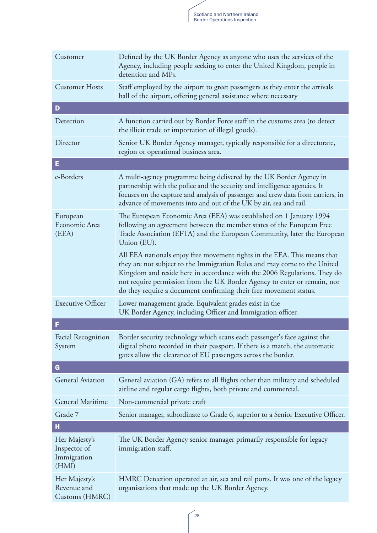| Customer                                              | Defined by the UK Border Agency as anyone who uses the services of the<br>Agency, including people seeking to enter the United Kingdom, people in<br>detention and MPs.                                                                                                                                                                                                           |  |
|-------------------------------------------------------|-----------------------------------------------------------------------------------------------------------------------------------------------------------------------------------------------------------------------------------------------------------------------------------------------------------------------------------------------------------------------------------|--|
| <b>Customer Hosts</b>                                 | Staff employed by the airport to greet passengers as they enter the arrivals<br>hall of the airport, offering general assistance where necessary                                                                                                                                                                                                                                  |  |
| D                                                     |                                                                                                                                                                                                                                                                                                                                                                                   |  |
| Detection                                             | A function carried out by Border Force staff in the customs area (to detect<br>the illicit trade or importation of illegal goods).                                                                                                                                                                                                                                                |  |
| Director                                              | Senior UK Border Agency manager, typically responsible for a directorate,<br>region or operational business area.                                                                                                                                                                                                                                                                 |  |
| Е                                                     |                                                                                                                                                                                                                                                                                                                                                                                   |  |
| e-Borders                                             | A multi-agency programme being delivered by the UK Border Agency in<br>partnership with the police and the security and intelligence agencies. It<br>focuses on the capture and analysis of passenger and crew data from carriers, in<br>advance of movements into and out of the UK by air, sea and rail.                                                                        |  |
| European<br>Economic Area<br>(EEA)                    | The European Economic Area (EEA) was established on 1 January 1994<br>following an agreement between the member states of the European Free<br>Trade Association (EFTA) and the European Community, later the European<br>Union (EU).                                                                                                                                             |  |
|                                                       | All EEA nationals enjoy free movement rights in the EEA. This means that<br>they are not subject to the Immigration Rules and may come to the United<br>Kingdom and reside here in accordance with the 2006 Regulations. They do<br>not require permission from the UK Border Agency to enter or remain, nor<br>do they require a document confirming their free movement status. |  |
| <b>Executive Officer</b>                              | Lower management grade. Equivalent grades exist in the<br>UK Border Agency, including Officer and Immigration officer.                                                                                                                                                                                                                                                            |  |
| F                                                     |                                                                                                                                                                                                                                                                                                                                                                                   |  |
| <b>Facial Recognition</b><br>System                   | Border security technology which scans each passenger's face against the<br>digital photo recorded in their passport. If there is a match, the automatic<br>gates allow the clearance of EU passengers across the border.                                                                                                                                                         |  |
| G                                                     |                                                                                                                                                                                                                                                                                                                                                                                   |  |
| <b>General Aviation</b>                               | General aviation (GA) refers to all flights other than military and scheduled<br>airline and regular cargo flights, both private and commercial.                                                                                                                                                                                                                                  |  |
| <b>General Maritime</b>                               | Non-commercial private craft                                                                                                                                                                                                                                                                                                                                                      |  |
| Grade 7                                               | Senior manager, subordinate to Grade 6, superior to a Senior Executive Officer.                                                                                                                                                                                                                                                                                                   |  |
| н                                                     |                                                                                                                                                                                                                                                                                                                                                                                   |  |
| Her Majesty's<br>Inspector of<br>Immigration<br>(HMI) | The UK Border Agency senior manager primarily responsible for legacy<br>immigration staff.                                                                                                                                                                                                                                                                                        |  |
| Her Majesty's<br>Revenue and<br>Customs (HMRC)        | HMRC Detection operated at air, sea and rail ports. It was one of the legacy<br>organisations that made up the UK Border Agency.                                                                                                                                                                                                                                                  |  |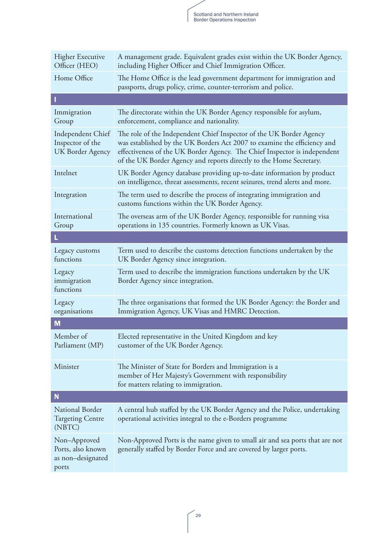

| <b>Higher Executive</b><br>Officer (HEO)                         | A management grade. Equivalent grades exist within the UK Border Agency,<br>including Higher Officer and Chief Immigration Officer.                                                                                                                                                                 |  |
|------------------------------------------------------------------|-----------------------------------------------------------------------------------------------------------------------------------------------------------------------------------------------------------------------------------------------------------------------------------------------------|--|
| Home Office                                                      | The Home Office is the lead government department for immigration and<br>passports, drugs policy, crime, counter-terrorism and police.                                                                                                                                                              |  |
| I                                                                |                                                                                                                                                                                                                                                                                                     |  |
| Immigration<br>Group                                             | The directorate within the UK Border Agency responsible for asylum,<br>enforcement, compliance and nationality.                                                                                                                                                                                     |  |
| Independent Chief<br>Inspector of the<br><b>UK Border Agency</b> | The role of the Independent Chief Inspector of the UK Border Agency<br>was established by the UK Borders Act 2007 to examine the efficiency and<br>effectiveness of the UK Border Agency. The Chief Inspector is independent<br>of the UK Border Agency and reports directly to the Home Secretary. |  |
| Intelnet                                                         | UK Border Agency database providing up-to-date information by product<br>on intelligence, threat assessments, recent seizures, trend alerts and more.                                                                                                                                               |  |
| Integration                                                      | The term used to describe the process of integrating immigration and<br>customs functions within the UK Border Agency.                                                                                                                                                                              |  |
| International<br>Group                                           | The overseas arm of the UK Border Agency, responsible for running visa<br>operations in 135 countries. Formerly known as UK Visas.                                                                                                                                                                  |  |
| L                                                                |                                                                                                                                                                                                                                                                                                     |  |
| Legacy customs<br>functions                                      | Term used to describe the customs detection functions undertaken by the<br>UK Border Agency since integration.                                                                                                                                                                                      |  |
| Legacy<br>immigration<br>functions                               | Term used to describe the immigration functions undertaken by the UK<br>Border Agency since integration.                                                                                                                                                                                            |  |
| Legacy<br>organisations                                          | The three organisations that formed the UK Border Agency: the Border and<br>Immigration Agency, UK Visas and HMRC Detection.                                                                                                                                                                        |  |
| M                                                                |                                                                                                                                                                                                                                                                                                     |  |
| Member of<br>Parliament (MP)                                     | Elected representative in the United Kingdom and key<br>customer of the UK Border Agency.                                                                                                                                                                                                           |  |
| Minister                                                         | The Minister of State for Borders and Immigration is a<br>member of Her Majesty's Government with responsibility<br>for matters relating to immigration.                                                                                                                                            |  |
| N                                                                |                                                                                                                                                                                                                                                                                                     |  |
| National Border<br><b>Targeting Centre</b><br>(NBTC)             | A central hub staffed by the UK Border Agency and the Police, undertaking<br>operational activities integral to the e-Borders programme                                                                                                                                                             |  |
| Non-Approved<br>Ports, also known<br>as non-designated<br>ports  | Non-Approved Ports is the name given to small air and sea ports that are not<br>generally staffed by Border Force and are covered by larger ports.                                                                                                                                                  |  |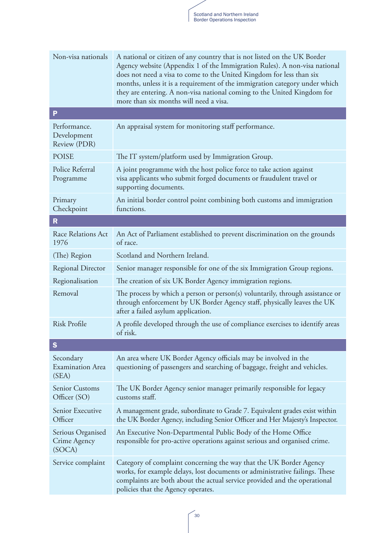| Non-visa nationals                            | A national or citizen of any country that is not listed on the UK Border<br>Agency website (Appendix 1 of the Immigration Rules). A non-visa national<br>does not need a visa to come to the United Kingdom for less than six<br>months, unless it is a requirement of the immigration category under which<br>they are entering. A non-visa national coming to the United Kingdom for<br>more than six months will need a visa. |  |  |
|-----------------------------------------------|----------------------------------------------------------------------------------------------------------------------------------------------------------------------------------------------------------------------------------------------------------------------------------------------------------------------------------------------------------------------------------------------------------------------------------|--|--|
| P                                             |                                                                                                                                                                                                                                                                                                                                                                                                                                  |  |  |
| Performance.<br>Development<br>Review (PDR)   | An appraisal system for monitoring staff performance.                                                                                                                                                                                                                                                                                                                                                                            |  |  |
| <b>POISE</b>                                  | The IT system/platform used by Immigration Group.                                                                                                                                                                                                                                                                                                                                                                                |  |  |
| Police Referral<br>Programme                  | A joint programme with the host police force to take action against<br>visa applicants who submit forged documents or fraudulent travel or<br>supporting documents.                                                                                                                                                                                                                                                              |  |  |
| Primary<br>Checkpoint                         | An initial border control point combining both customs and immigration<br>functions.                                                                                                                                                                                                                                                                                                                                             |  |  |
| R                                             |                                                                                                                                                                                                                                                                                                                                                                                                                                  |  |  |
| <b>Race Relations Act</b><br>1976             | An Act of Parliament established to prevent discrimination on the grounds<br>of race.                                                                                                                                                                                                                                                                                                                                            |  |  |
| (The) Region                                  | Scotland and Northern Ireland.                                                                                                                                                                                                                                                                                                                                                                                                   |  |  |
| <b>Regional Director</b>                      | Senior manager responsible for one of the six Immigration Group regions.                                                                                                                                                                                                                                                                                                                                                         |  |  |
| Regionalisation                               | The creation of six UK Border Agency immigration regions.                                                                                                                                                                                                                                                                                                                                                                        |  |  |
| Removal                                       | The process by which a person or person(s) voluntarily, through assistance or<br>through enforcement by UK Border Agency staff, physically leaves the UK<br>after a failed asylum application.                                                                                                                                                                                                                                   |  |  |
| <b>Risk Profile</b>                           | A profile developed through the use of compliance exercises to identify areas<br>of risk.                                                                                                                                                                                                                                                                                                                                        |  |  |
| S                                             |                                                                                                                                                                                                                                                                                                                                                                                                                                  |  |  |
| Secondary<br><b>Examination</b> Area<br>(SEA) | An area where UK Border Agency officials may be involved in the<br>questioning of passengers and searching of baggage, freight and vehicles.                                                                                                                                                                                                                                                                                     |  |  |
| Senior Customs<br>Officer (SO)                | The UK Border Agency senior manager primarily responsible for legacy<br>customs staff.                                                                                                                                                                                                                                                                                                                                           |  |  |
| Senior Executive<br>Officer                   | A management grade, subordinate to Grade 7. Equivalent grades exist within<br>the UK Border Agency, including Senior Officer and Her Majesty's Inspector.                                                                                                                                                                                                                                                                        |  |  |
| Serious Organised<br>Crime Agency<br>(SOCA)   | An Executive Non-Departmental Public Body of the Home Office<br>responsible for pro-active operations against serious and organised crime.                                                                                                                                                                                                                                                                                       |  |  |
| Service complaint                             | Category of complaint concerning the way that the UK Border Agency<br>works, for example delays, lost documents or administrative failings. These<br>complaints are both about the actual service provided and the operational<br>policies that the Agency operates.                                                                                                                                                             |  |  |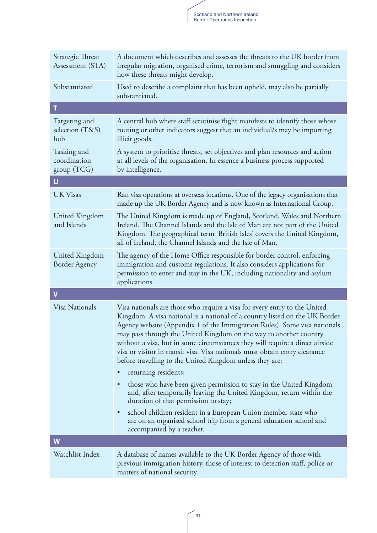| Strategic Threat<br>Assessment (STA)       | A document which describes and assesses the threats to the UK border from<br>irregular migration, organised crime, terrorism and smuggling and considers<br>how these threats might develop.                                                                                                                                                                                                                                                                                                                                                                                                                                                                                                                                                                                                                                                                                                                                                       |  |
|--------------------------------------------|----------------------------------------------------------------------------------------------------------------------------------------------------------------------------------------------------------------------------------------------------------------------------------------------------------------------------------------------------------------------------------------------------------------------------------------------------------------------------------------------------------------------------------------------------------------------------------------------------------------------------------------------------------------------------------------------------------------------------------------------------------------------------------------------------------------------------------------------------------------------------------------------------------------------------------------------------|--|
| Substantiated                              | Used to describe a complaint that has been upheld, may also be partially<br>substantiated.                                                                                                                                                                                                                                                                                                                                                                                                                                                                                                                                                                                                                                                                                                                                                                                                                                                         |  |
| T                                          |                                                                                                                                                                                                                                                                                                                                                                                                                                                                                                                                                                                                                                                                                                                                                                                                                                                                                                                                                    |  |
| Targeting and<br>selection (T&S)<br>hub    | A central hub where staff scrutinise flight manifests to identify those whose<br>routing or other indicators suggest that an individual/s may be importing<br>illicit goods.                                                                                                                                                                                                                                                                                                                                                                                                                                                                                                                                                                                                                                                                                                                                                                       |  |
| Tasking and<br>coordination<br>group (TCG) | A system to prioritise threats, set objectives and plan resources and action<br>at all levels of the organisation. In essence a business process supported<br>by intelligence.                                                                                                                                                                                                                                                                                                                                                                                                                                                                                                                                                                                                                                                                                                                                                                     |  |
| U                                          |                                                                                                                                                                                                                                                                                                                                                                                                                                                                                                                                                                                                                                                                                                                                                                                                                                                                                                                                                    |  |
| <b>UK Visas</b>                            | Ran visa operations at overseas locations. One of the legacy organisations that<br>made up the UK Border Agency and is now known as International Group.                                                                                                                                                                                                                                                                                                                                                                                                                                                                                                                                                                                                                                                                                                                                                                                           |  |
| United Kingdom<br>and Islands              | The United Kingdom is made up of England, Scotland, Wales and Northern<br>Ireland. The Channel Islands and the Isle of Man are not part of the United<br>Kingdom. The geographical term 'British Isles' covers the United Kingdom,<br>all of Ireland, the Channel Islands and the Isle of Man.                                                                                                                                                                                                                                                                                                                                                                                                                                                                                                                                                                                                                                                     |  |
| United Kingdom<br><b>Border Agency</b>     | The agency of the Home Office responsible for border control, enforcing<br>immigration and customs regulations. It also considers applications for<br>permission to enter and stay in the UK, including nationality and asylum<br>applications.                                                                                                                                                                                                                                                                                                                                                                                                                                                                                                                                                                                                                                                                                                    |  |
| $\overline{\mathsf{V}}$                    |                                                                                                                                                                                                                                                                                                                                                                                                                                                                                                                                                                                                                                                                                                                                                                                                                                                                                                                                                    |  |
| Visa Nationals                             | Visa nationals are those who require a visa for every entry to the United<br>Kingdom. A visa national is a national of a country listed on the UK Border<br>Agency website (Appendix 1 of the Immigration Rules). Some visa nationals<br>may pass through the United Kingdom on the way to another country<br>without a visa, but in some circumstances they will require a direct airside<br>visa or visitor in transit visa. Visa nationals must obtain entry clearance<br>before travelling to the United Kingdom unless they are:<br>returning residents;<br>those who have been given permission to stay in the United Kingdom<br>$\bullet$<br>and, after temporarily leaving the United Kingdom, return within the<br>duration of that permission to stay;<br>school children resident in a European Union member state who<br>$\bullet$<br>are on an organised school trip from a general education school and<br>accompanied by a teacher. |  |
| W                                          |                                                                                                                                                                                                                                                                                                                                                                                                                                                                                                                                                                                                                                                                                                                                                                                                                                                                                                                                                    |  |
| Watchlist Index                            | A database of names available to the UK Border Agency of those with                                                                                                                                                                                                                                                                                                                                                                                                                                                                                                                                                                                                                                                                                                                                                                                                                                                                                |  |
|                                            | previous immigration history, those of interest to detection staff, police or<br>matters of national security.                                                                                                                                                                                                                                                                                                                                                                                                                                                                                                                                                                                                                                                                                                                                                                                                                                     |  |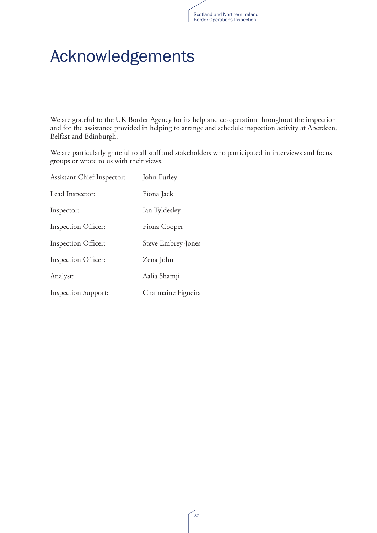## Acknowledgements

We are grateful to the UK Border Agency for its help and co-operation throughout the inspection and for the assistance provided in helping to arrange and schedule inspection activity at Aberdeen, Belfast and Edinburgh.

We are particularly grateful to all staff and stakeholders who participated in interviews and focus groups or wrote to us with their views.

| <b>Assistant Chief Inspector:</b> | John Furley        |
|-----------------------------------|--------------------|
| Lead Inspector:                   | Fiona Jack         |
| Inspector:                        | Ian Tyldesley      |
| Inspection Officer:               | Fiona Cooper       |
| Inspection Officer:               | Steve Embrey-Jones |
| Inspection Officer:               | Zena John          |
| Analyst:                          | Aalia Shamji       |
| <b>Inspection Support:</b>        | Charmaine Figueira |